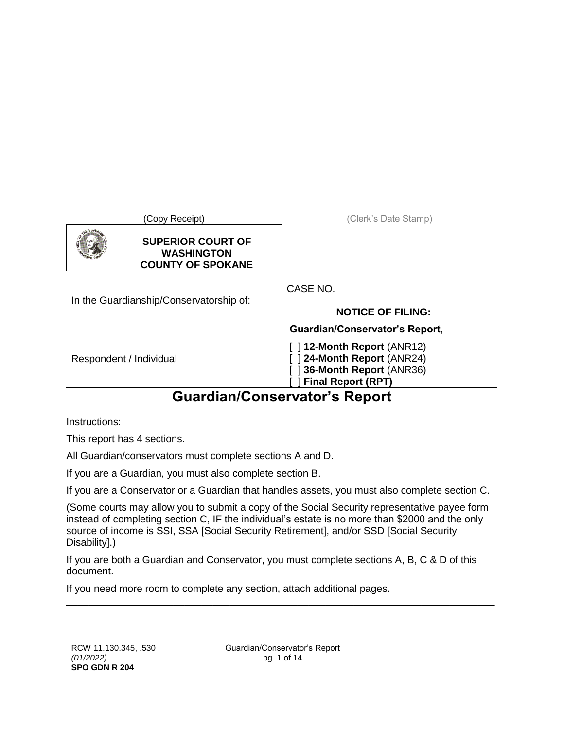| (Copy Receipt)                                                            | (Clerk's Date Stamp)                                                                                                                                  |
|---------------------------------------------------------------------------|-------------------------------------------------------------------------------------------------------------------------------------------------------|
| <b>SUPERIOR COURT OF</b><br><b>WASHINGTON</b><br><b>COUNTY OF SPOKANE</b> |                                                                                                                                                       |
| In the Guardianship/Conservatorship of:                                   | CASE NO<br><b>NOTICE OF FILING:</b>                                                                                                                   |
| Respondent / Individual                                                   | Guardian/Conservator's Report,<br>$\lceil$ 12-Month Report (ANR12)<br>34-Month Report (ANR24)<br>36-Month Report (ANR36)<br><b>Final Report (RPT)</b> |

# **Guardian/Conservator's Report**

Instructions:

This report has 4 sections.

All Guardian/conservators must complete sections A and D.

If you are a Guardian, you must also complete section B.

If you are a Conservator or a Guardian that handles assets, you must also complete section C.

(Some courts may allow you to submit a copy of the Social Security representative payee form instead of completing section C, IF the individual's estate is no more than \$2000 and the only source of income is SSI, SSA [Social Security Retirement], and/or SSD [Social Security Disability].)

If you are both a Guardian and Conservator, you must complete sections A, B, C & D of this document.

\_\_\_\_\_\_\_\_\_\_\_\_\_\_\_\_\_\_\_\_\_\_\_\_\_\_\_\_\_\_\_\_\_\_\_\_\_\_\_\_\_\_\_\_\_\_\_\_\_\_\_\_\_\_\_\_\_\_\_\_\_\_\_\_\_\_\_\_\_\_\_\_\_\_\_\_

If you need more room to complete any section, attach additional pages.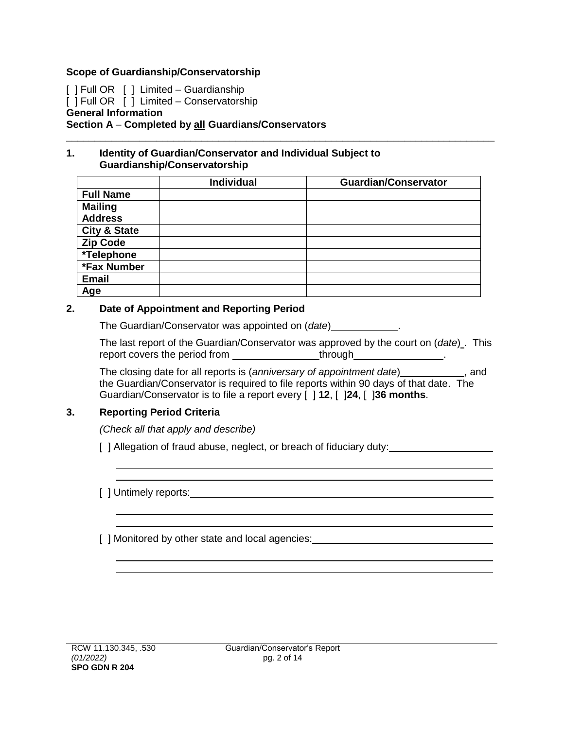#### **Scope of Guardianship/Conservatorship**

[ ] Full OR [ ] Limited – Guardianship  $\begin{bmatrix} 1 \end{bmatrix}$  Full OR  $\begin{bmatrix} 1 \end{bmatrix}$  Limited – Conservatorship **General Information Section A** – **Completed by all Guardians/Conservators** \_\_\_\_\_\_\_\_\_\_\_\_\_\_\_\_\_\_\_\_\_\_\_\_\_\_\_\_\_\_\_\_\_\_\_\_\_\_\_\_\_\_\_\_\_\_\_\_\_\_\_\_\_\_\_\_\_\_\_\_\_\_\_\_\_\_\_\_\_\_\_\_\_\_\_\_

#### **1. Identity of Guardian/Conservator and Individual Subject to Guardianship/Conservatorship**

|                         | <b>Individual</b> | <b>Guardian/Conservator</b> |
|-------------------------|-------------------|-----------------------------|
| <b>Full Name</b>        |                   |                             |
| <b>Mailing</b>          |                   |                             |
| <b>Address</b>          |                   |                             |
| <b>City &amp; State</b> |                   |                             |
| <b>Zip Code</b>         |                   |                             |
| *Telephone              |                   |                             |
| *Fax Number             |                   |                             |
| <b>Email</b>            |                   |                             |
| Age                     |                   |                             |

#### **2. Date of Appointment and Reporting Period**

The Guardian/Conservator was appointed on (*date*) .

The last report of the Guardian/Conservator was approved by the court on (*date*) . This report covers the period from through .

The closing date for all reports is (*anniversary of appointment date*) *\_\_\_\_\_\_\_\_\_\_*\_\_, and the Guardian/Conservator is required to file reports within 90 days of that date. The Guardian/Conservator is to file a report every [ ] **12**, [ ]**24**, [ ]**36 months**.

### **3. Reporting Period Criteria**

*(Check all that apply and describe)*

[ ] Allegation of fraud abuse, neglect, or breach of fiduciary duty:

[ ] Untimely reports: The state of the state of the state of the state of the state of the state of the state of the state of the state of the state of the state of the state of the state of the state of the state of the s

[ ] Monitored by other state and local agencies: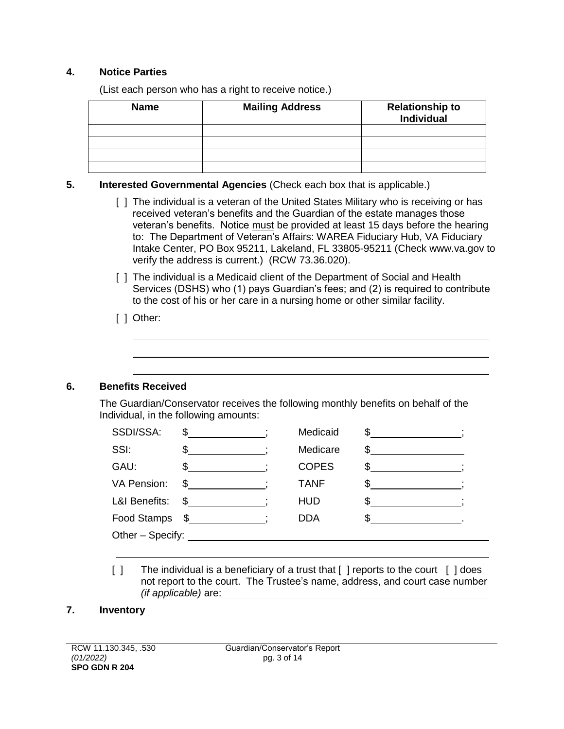### **4. Notice Parties**

(List each person who has a right to receive notice.)

| <b>Name</b> | <b>Mailing Address</b> | <b>Relationship to</b><br><b>Individual</b> |
|-------------|------------------------|---------------------------------------------|
|             |                        |                                             |
|             |                        |                                             |
|             |                        |                                             |
|             |                        |                                             |

### **5. Interested Governmental Agencies** (Check each box that is applicable.)

- [ ] The individual is a veteran of the United States Military who is receiving or has received veteran's benefits and the Guardian of the estate manages those veteran's benefits. Notice must be provided at least 15 days before the hearing to: The Department of Veteran's Affairs: WAREA Fiduciary Hub, VA Fiduciary Intake Center, PO Box 95211, Lakeland, FL 33805-95211 (Check www.va.gov to verify the address is current.) (RCW 73.36.020).
- [ ] The individual is a Medicaid client of the Department of Social and Health Services (DSHS) who (1) pays Guardian's fees; and (2) is required to contribute to the cost of his or her care in a nursing home or other similar facility.
- [ ] Other:

### **6. Benefits Received**

The Guardian/Conservator receives the following monthly benefits on behalf of the Individual, in the following amounts:

| SSDI/SSA:          | $\degree$ $\frac{1}{\degree}$                                                                                         | Medicaid     | $\frac{1}{2}$ |  |
|--------------------|-----------------------------------------------------------------------------------------------------------------------|--------------|---------------|--|
| SSI:               |                                                                                                                       | Medicare     |               |  |
| GAU:               |                                                                                                                       | <b>COPES</b> |               |  |
| <b>VA Pension:</b> | \$.                                                                                                                   | <b>TANF</b>  |               |  |
| L&I Benefits:      | \$<br>and the state of the state of the state of the state of the state of the state of the state of the state of the | <b>HUD</b>   |               |  |
| Food Stamps        | \$                                                                                                                    | <b>DDA</b>   |               |  |
| Other - Specify:   |                                                                                                                       |              |               |  |
|                    |                                                                                                                       |              |               |  |

[] The individual is a beneficiary of a trust that [] reports to the court [] does not report to the court. The Trustee's name, address, and court case number *(if applicable)* are:

### **7. Inventory**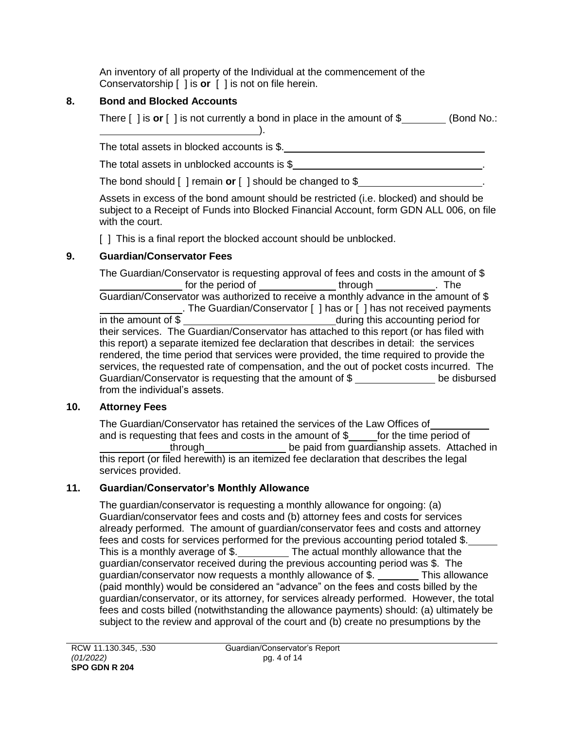An inventory of all property of the Individual at the commencement of the Conservatorship [ ] is **or** [ ] is not on file herein.

## **8. Bond and Blocked Accounts**

There [ ] is **or** [ ] is not currently a bond in place in the amount of \$ (Bond No.: ).

The total assets in blocked accounts is \$.

The total assets in unblocked accounts is \$

The bond should [ ] remain **or** [ ] should be changed to \$ .

Assets in excess of the bond amount should be restricted (i.e. blocked) and should be subject to a Receipt of Funds into Blocked Financial Account, form GDN ALL 006, on file with the court.

[ ] This is a final report the blocked account should be unblocked.

# **9. Guardian/Conservator Fees**

The Guardian/Conservator is requesting approval of fees and costs in the amount of \$ for the period of  $\sqrt{ }$  through  $\sqrt{ }$ . The Guardian/Conservator was authorized to receive a monthly advance in the amount of \$ . The Guardian/Conservator [ ] has or [ ] has not received payments in the amount of \$ their services. The Guardian/Conservator has attached to this report (or has filed with this report) a separate itemized fee declaration that describes in detail: the services rendered, the time period that services were provided, the time required to provide the services, the requested rate of compensation, and the out of pocket costs incurred. The Guardian/Conservator is requesting that the amount of \$ be disbursed from the individual's assets.

# **10. Attorney Fees**

The Guardian/Conservator has retained the services of the Law Offices of and is requesting that fees and costs in the amount of  $\frac{1}{2}$  for the time period of through be paid from guardianship assets. Attached in this report (or filed herewith) is an itemized fee declaration that describes the legal services provided.

# **11. Guardian/Conservator's Monthly Allowance**

The guardian/conservator is requesting a monthly allowance for ongoing: (a) Guardian/conservator fees and costs and (b) attorney fees and costs for services already performed. The amount of guardian/conservator fees and costs and attorney fees and costs for services performed for the previous accounting period totaled \$. This is a monthly average of  $\frac{1}{2}$ . The actual monthly allowance that the guardian/conservator received during the previous accounting period was \$. The guardian/conservator now requests a monthly allowance of  $$.$  This allowance (paid monthly) would be considered an "advance" on the fees and costs billed by the guardian/conservator, or its attorney, for services already performed. However, the total fees and costs billed (notwithstanding the allowance payments) should: (a) ultimately be subject to the review and approval of the court and (b) create no presumptions by the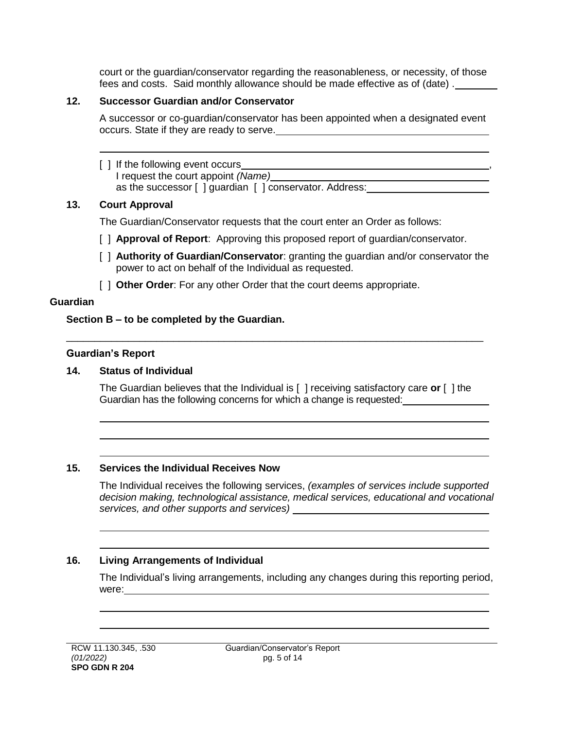court or the guardian/conservator regarding the reasonableness, or necessity, of those fees and costs. Said monthly allowance should be made effective as of (date) .

### **12. Successor Guardian and/or Conservator**

A successor or co-guardian/conservator has been appointed when a designated event occurs. State if they are ready to serve.

### [ ] If the following event occurs

I request the court appoint *(Name)* as the successor [ ] guardian [ ] conservator. Address:

### **13. Court Approval**

The Guardian/Conservator requests that the court enter an Order as follows:

- [ ] **Approval of Report**: Approving this proposed report of quardian/conservator.
- [ ] **Authority of Guardian/Conservator**: granting the guardian and/or conservator the power to act on behalf of the Individual as requested.
- [  $\vert$  **Other Order**: For any other Order that the court deems appropriate.

### **Guardian**

### **Section B – to be completed by the Guardian.**

### **Guardian's Report**

### **14. Status of Individual**

The Guardian believes that the Individual is [ ] receiving satisfactory care **or** [ ] the Guardian has the following concerns for which a change is requested:

\_\_\_\_\_\_\_\_\_\_\_\_\_\_\_\_\_\_\_\_\_\_\_\_\_\_\_\_\_\_\_\_\_\_\_\_\_\_\_\_\_\_\_\_\_\_\_\_\_\_\_\_\_\_\_\_\_\_\_\_\_\_\_\_\_\_\_\_\_\_\_\_\_\_

### **15. Services the Individual Receives Now**

The Individual receives the following services, *(examples of services include supported decision making, technological assistance, medical services, educational and vocational services, and other supports and services)*

### **16. Living Arrangements of Individual**

The Individual's living arrangements, including any changes during this reporting period, were:  $\frac{1}{\sqrt{1-\frac{1}{2}}\sqrt{1-\frac{1}{2}}\sqrt{1-\frac{1}{2}}\sqrt{1-\frac{1}{2}}\sqrt{1-\frac{1}{2}}$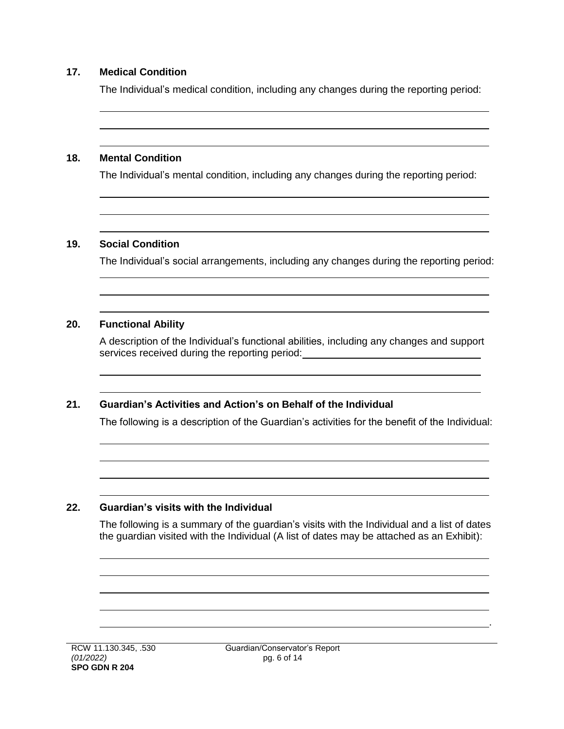#### **17. Medical Condition**

The Individual's medical condition, including any changes during the reporting period:

#### **18. Mental Condition**

The Individual's mental condition, including any changes during the reporting period:

#### **19. Social Condition**

The Individual's social arrangements, including any changes during the reporting period:

#### **20. Functional Ability**

A description of the Individual's functional abilities, including any changes and support services received during the reporting period:<br>
Services received during the reporting period:

### **21. Guardian's Activities and Action's on Behalf of the Individual**

The following is a description of the Guardian's activities for the benefit of the Individual:

#### **22. Guardian's visits with the Individual**

The following is a summary of the guardian's visits with the Individual and a list of dates the guardian visited with the Individual (A list of dates may be attached as an Exhibit):

.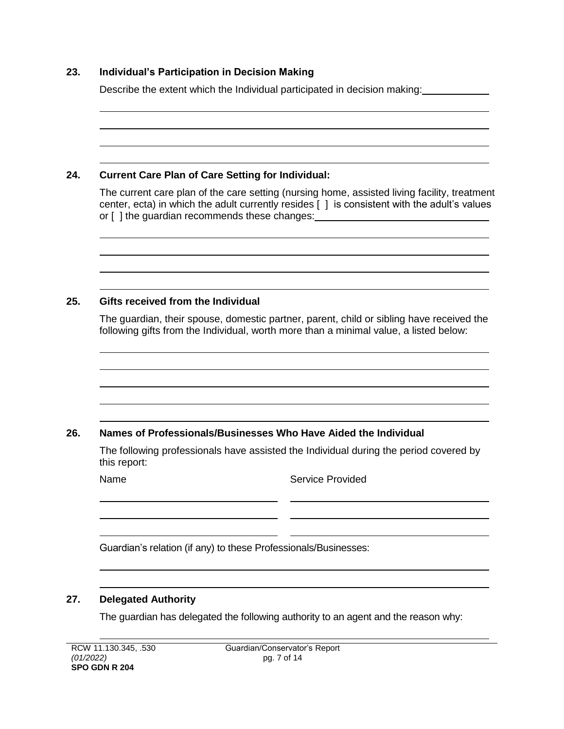### **23. Individual's Participation in Decision Making**

Describe the extent which the Individual participated in decision making:

### **24. Current Care Plan of Care Setting for Individual:**

The current care plan of the care setting (nursing home, assisted living facility, treatment center, ecta) in which the adult currently resides [ ] is consistent with the adult's values or [ ] the guardian recommends these changes: \_\_\_\_\_\_\_\_\_\_\_\_\_\_\_\_\_\_\_\_\_\_\_\_\_\_\_\_\_\_\_\_\_\_

### **25. Gifts received from the Individual**

The guardian, their spouse, domestic partner, parent, child or sibling have received the following gifts from the Individual, worth more than a minimal value, a listed below:

### **26. Names of Professionals/Businesses Who Have Aided the Individual**

The following professionals have assisted the Individual during the period covered by this report:

. L

Name Service Provided

Guardian's relation (if any) to these Professionals/Businesses:

### **27. Delegated Authority**

The guardian has delegated the following authority to an agent and the reason why: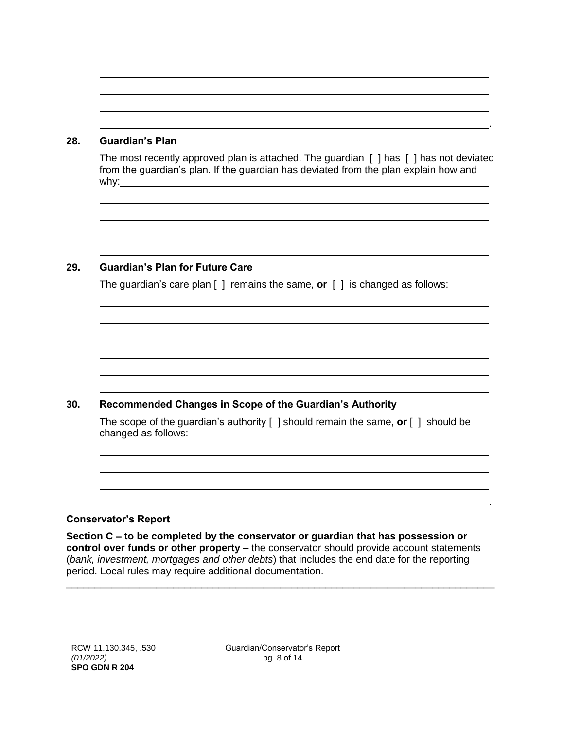#### **28. Guardian's Plan**

The most recently approved plan is attached. The guardian [ ] has [ ] has not deviated from the guardian's plan. If the guardian has deviated from the plan explain how and why: $\rule{1em}{0.15mm}$ 

.

.

### **29. Guardian's Plan for Future Care**

The guardian's care plan [ ] remains the same, **or** [ ] is changed as follows:

### **30. Recommended Changes in Scope of the Guardian's Authority**

The scope of the guardian's authority [ ] should remain the same, **or** [ ] should be changed as follows:

### **Conservator's Report**

**Section C – to be completed by the conservator or guardian that has possession or control over funds or other property** – the conservator should provide account statements (*bank, investment, mortgages and other debts*) that includes the end date for the reporting period. Local rules may require additional documentation.

\_\_\_\_\_\_\_\_\_\_\_\_\_\_\_\_\_\_\_\_\_\_\_\_\_\_\_\_\_\_\_\_\_\_\_\_\_\_\_\_\_\_\_\_\_\_\_\_\_\_\_\_\_\_\_\_\_\_\_\_\_\_\_\_\_\_\_\_\_\_\_\_\_\_\_\_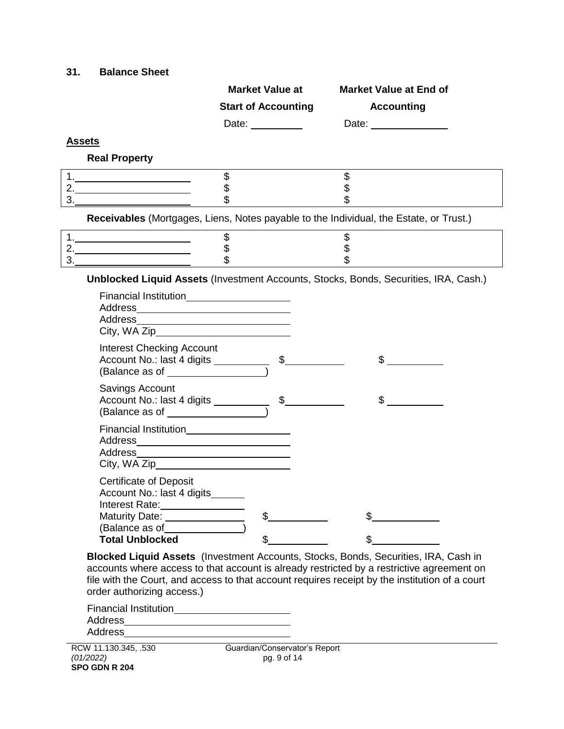#### **31. Balance Sheet**

|    | <b>Dalally Sulcer</b>                                                                                                         |                                                              |                                                                                        |  |
|----|-------------------------------------------------------------------------------------------------------------------------------|--------------------------------------------------------------|----------------------------------------------------------------------------------------|--|
|    |                                                                                                                               | <b>Market Value at</b>                                       | <b>Market Value at End of</b>                                                          |  |
|    |                                                                                                                               | <b>Start of Accounting</b>                                   | <b>Accounting</b>                                                                      |  |
|    |                                                                                                                               | Date: ___________                                            | Date: <u>_________________</u>                                                         |  |
|    | <b>Assets</b>                                                                                                                 |                                                              |                                                                                        |  |
|    | <b>Real Property</b>                                                                                                          |                                                              |                                                                                        |  |
|    |                                                                                                                               | \$                                                           | \$                                                                                     |  |
|    |                                                                                                                               | \$                                                           | \$<br>\$                                                                               |  |
|    | $\begin{array}{c} \n3. \quad \textcolor{red}{\overbrace{\text{2.22}}\text{ }} \end{array}$                                    | \$                                                           |                                                                                        |  |
|    |                                                                                                                               |                                                              | Receivables (Mortgages, Liens, Notes payable to the Individual, the Estate, or Trust.) |  |
|    |                                                                                                                               | \$                                                           | \$                                                                                     |  |
|    | 2.                                                                                                                            | \$<br>$\overline{\mathbf{S}}$                                | \$<br>\$                                                                               |  |
| 3. |                                                                                                                               |                                                              |                                                                                        |  |
|    | Financial Institution <b>Example 2018</b><br><b>Interest Checking Account</b>                                                 |                                                              |                                                                                        |  |
|    | (Balance as of __________________                                                                                             | Account No.: last 4 digits $\frac{1}{\sqrt{1-\frac{1}{2}}}\$ |                                                                                        |  |
|    | Savings Account<br>Account No.: last 4 digits __________<br>(Balance as of ___________________                                | $\mathsf{\$}$                                                | $\mathbb{S}$                                                                           |  |
|    | Financial Institution______________________                                                                                   |                                                              |                                                                                        |  |
|    | <b>Certificate of Deposit</b><br>Account No.: last 4 digits______<br>Interest Rate:_________________<br><b>Maturity Date:</b> | \$                                                           | \$                                                                                     |  |

**Blocked Liquid Assets** (Investment Accounts, Stocks, Bonds, Securities, IRA, Cash in accounts where access to that account is already restricted by a restrictive agreement on file with the Court, and access to that account requires receipt by the institution of a court order authorizing access.)

| <b>Financial Institution</b> |  |
|------------------------------|--|
| Address                      |  |
| Address                      |  |
|                              |  |

Total Unblocked \$

(Balance as of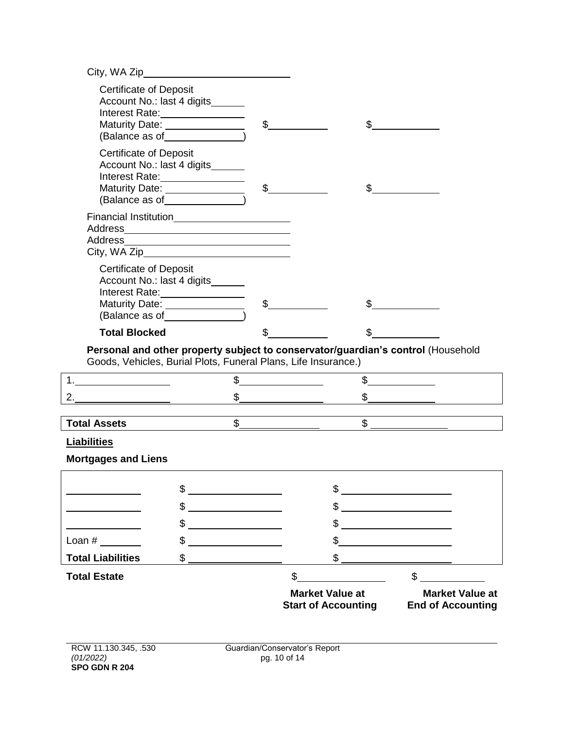|                                                           | City, WA Zip                                                                                                                                                                                                                                                                                                                           |               |               |                                                           |  |
|-----------------------------------------------------------|----------------------------------------------------------------------------------------------------------------------------------------------------------------------------------------------------------------------------------------------------------------------------------------------------------------------------------------|---------------|---------------|-----------------------------------------------------------|--|
| <b>Certificate of Deposit</b>                             | Account No.: last 4 digits______<br>Interest Rate:<br><u> and</u><br>Maturity Date: ________________<br>(Balance as of Sales Contains the Contact of Sales Contact Contact Contact Contact Contact Contact Contact Contact Contact Contact Contact Contact Contact Contact Contact Contact Contact Contact Contact Contact Contact Con | $\frac{1}{2}$ |               | $\frac{1}{2}$                                             |  |
| <b>Certificate of Deposit</b>                             | Account No.: last 4 digits______<br>Maturity Date:<br>(Balance as of ________________)                                                                                                                                                                                                                                                 | $\frac{1}{2}$ |               | $\frac{1}{2}$                                             |  |
|                                                           | Financial Institution_________________________                                                                                                                                                                                                                                                                                         |               |               |                                                           |  |
| <b>Certificate of Deposit</b>                             | Account No.: last 4 digits______<br>Interest Rate: 1997<br>Maturity Date: ________________                                                                                                                                                                                                                                             | $\frac{1}{2}$ |               |                                                           |  |
| <b>Total Blocked</b>                                      |                                                                                                                                                                                                                                                                                                                                        |               | \$            |                                                           |  |
|                                                           | Personal and other property subject to conservator/guardian's control (Household<br>Goods, Vehicles, Burial Plots, Funeral Plans, Life Insurance.)                                                                                                                                                                                     |               |               |                                                           |  |
|                                                           |                                                                                                                                                                                                                                                                                                                                        | $\frac{1}{2}$ | s             |                                                           |  |
|                                                           |                                                                                                                                                                                                                                                                                                                                        | $\frac{1}{2}$ |               | $\begin{array}{c} \updownarrow \\ \downarrow \end{array}$ |  |
|                                                           | $\mathsf{\$}$                                                                                                                                                                                                                                                                                                                          |               | $\frac{1}{2}$ |                                                           |  |
| Total Assets <b>Contains the Contract of Total Assets</b> |                                                                                                                                                                                                                                                                                                                                        |               |               |                                                           |  |
| <b>Liabilities</b><br><b>Mortgages and Liens</b>          |                                                                                                                                                                                                                                                                                                                                        |               |               |                                                           |  |
|                                                           | \$                                                                                                                                                                                                                                                                                                                                     |               | \$            |                                                           |  |
|                                                           | \$                                                                                                                                                                                                                                                                                                                                     |               | \$            |                                                           |  |
|                                                           | \$                                                                                                                                                                                                                                                                                                                                     |               | \$            |                                                           |  |
| Loan $#$                                                  | \$                                                                                                                                                                                                                                                                                                                                     |               | \$            |                                                           |  |
| <b>Total Liabilities</b>                                  | \$                                                                                                                                                                                                                                                                                                                                     |               | \$            |                                                           |  |
| <b>Total Estate</b>                                       |                                                                                                                                                                                                                                                                                                                                        | \$            |               | \$                                                        |  |

**Market Value at Market Value at Start of Accounting**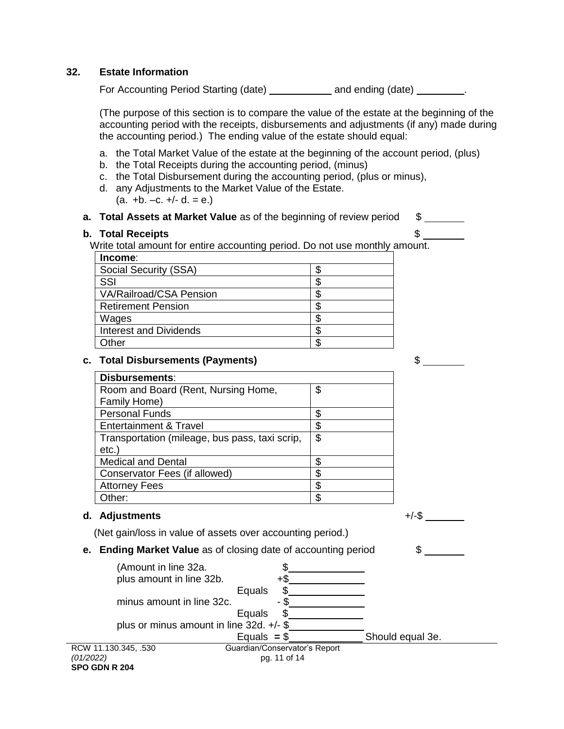#### **32. Estate Information**

For Accounting Period Starting (date) \_\_\_\_\_\_\_\_\_\_\_ and ending (date) \_\_\_\_\_\_\_\_.

(The purpose of this section is to compare the value of the estate at the beginning of the accounting period with the receipts, disbursements and adjustments (if any) made during the accounting period.) The ending value of the estate should equal:

- a. the Total Market Value of the estate at the beginning of the account period, (plus)
- b. the Total Receipts during the accounting period, (minus)
- c. the Total Disbursement during the accounting period, (plus or minus),
- d. any Adjustments to the Market Value of the Estate.  $(a. +b. -c. +c. +d. = e.)$

# **a. Total Assets at Market Value** as of the beginning of review period \$

#### **b. Total Receipts**  $\text{\$}$

Write total amount for entire accounting period. Do not use monthly amount.

| Income:                        |  |
|--------------------------------|--|
| Social Security (SSA)          |  |
| SSI                            |  |
| <b>VA/Railroad/CSA Pension</b> |  |
| <b>Retirement Pension</b>      |  |
| Wages                          |  |
| <b>Interest and Dividends</b>  |  |
| Other                          |  |
|                                |  |

#### **c. Total Disbursements (Payments)** \$

| <b>Disbursements:</b>                          |    |
|------------------------------------------------|----|
| Room and Board (Rent, Nursing Home,            | \$ |
| Family Home)                                   |    |
| <b>Personal Funds</b>                          |    |
| Entertainment & Travel                         |    |
| Transportation (mileage, bus pass, taxi scrip, | \$ |
| $etc.$ )                                       |    |
| <b>Medical and Dental</b>                      |    |
| Conservator Fees (if allowed)                  |    |
| <b>Attorney Fees</b>                           |    |
| Other:                                         |    |

#### **d. Adjustments** +/-\$

(Net gain/loss in value of assets over accounting period.)

**e.** Ending Market Value as of closing date of accounting period



**SPO GDN R 204**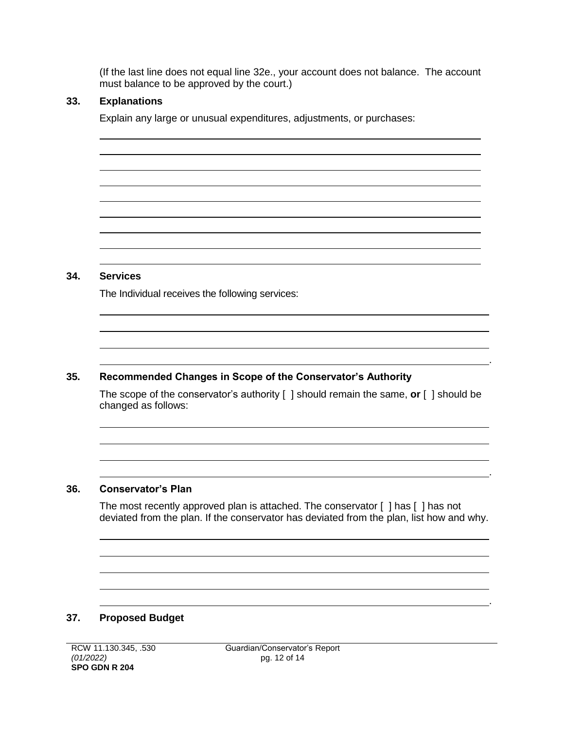(If the last line does not equal line 32e., your account does not balance. The account must balance to be approved by the court.)

### **33. Explanations**

Explain any large or unusual expenditures, adjustments, or purchases:

### **34. Services**

The Individual receives the following services:

### **35. Recommended Changes in Scope of the Conservator's Authority**

The scope of the conservator's authority [ ] should remain the same, **or** [ ] should be changed as follows:

.

.

.

### **36. Conservator's Plan**

The most recently approved plan is attached. The conservator [ ] has [ ] has not deviated from the plan. If the conservator has deviated from the plan, list how and why.

### **37. Proposed Budget**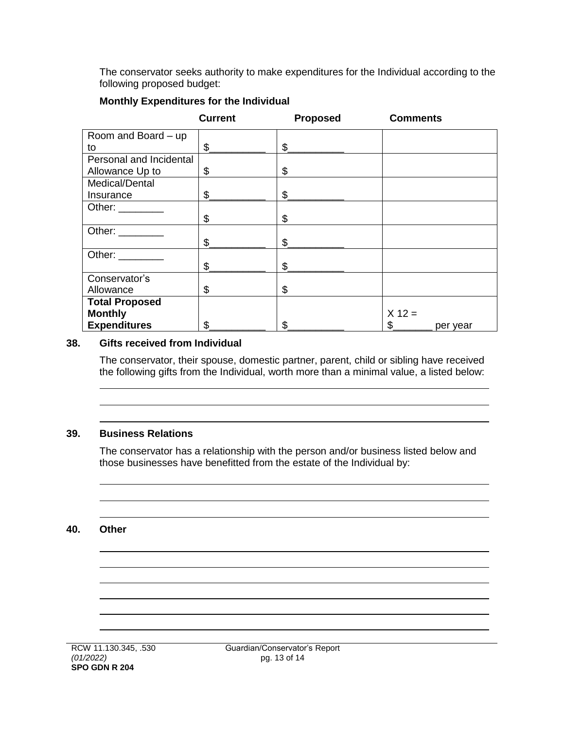The conservator seeks authority to make expenditures for the Individual according to the following proposed budget:

|                                                                                                                                                                                                                                | <b>Current</b> | <b>Proposed</b> | <b>Comments</b> |
|--------------------------------------------------------------------------------------------------------------------------------------------------------------------------------------------------------------------------------|----------------|-----------------|-----------------|
| Room and Board - up                                                                                                                                                                                                            |                |                 |                 |
| to                                                                                                                                                                                                                             | \$             | \$              |                 |
| Personal and Incidental                                                                                                                                                                                                        |                |                 |                 |
| Allowance Up to                                                                                                                                                                                                                | \$             | \$              |                 |
| Medical/Dental                                                                                                                                                                                                                 |                |                 |                 |
| Insurance                                                                                                                                                                                                                      | $\frac{1}{2}$  | \$              |                 |
| Other: and the state of the state of the state of the state of the state of the state of the state of the state of the state of the state of the state of the state of the state of the state of the state of the state of the |                |                 |                 |
|                                                                                                                                                                                                                                | \$             | \$              |                 |
| Other: ________                                                                                                                                                                                                                |                |                 |                 |
|                                                                                                                                                                                                                                | \$             | \$              |                 |
| Other:                                                                                                                                                                                                                         |                |                 |                 |
|                                                                                                                                                                                                                                | \$             | \$              |                 |
| Conservator's                                                                                                                                                                                                                  |                |                 |                 |
| Allowance                                                                                                                                                                                                                      | \$             | \$              |                 |
| <b>Total Proposed</b>                                                                                                                                                                                                          |                |                 |                 |
| <b>Monthly</b>                                                                                                                                                                                                                 |                |                 | $X 12 =$        |
| <b>Expenditures</b>                                                                                                                                                                                                            | \$             | \$              | \$<br>per year  |

#### **Monthly Expenditures for the Individual**

#### **38. Gifts received from Individual**

The conservator, their spouse, domestic partner, parent, child or sibling have received the following gifts from the Individual, worth more than a minimal value, a listed below:

#### **39. Business Relations**

The conservator has a relationship with the person and/or business listed below and those businesses have benefitted from the estate of the Individual by:

#### **40. Other**